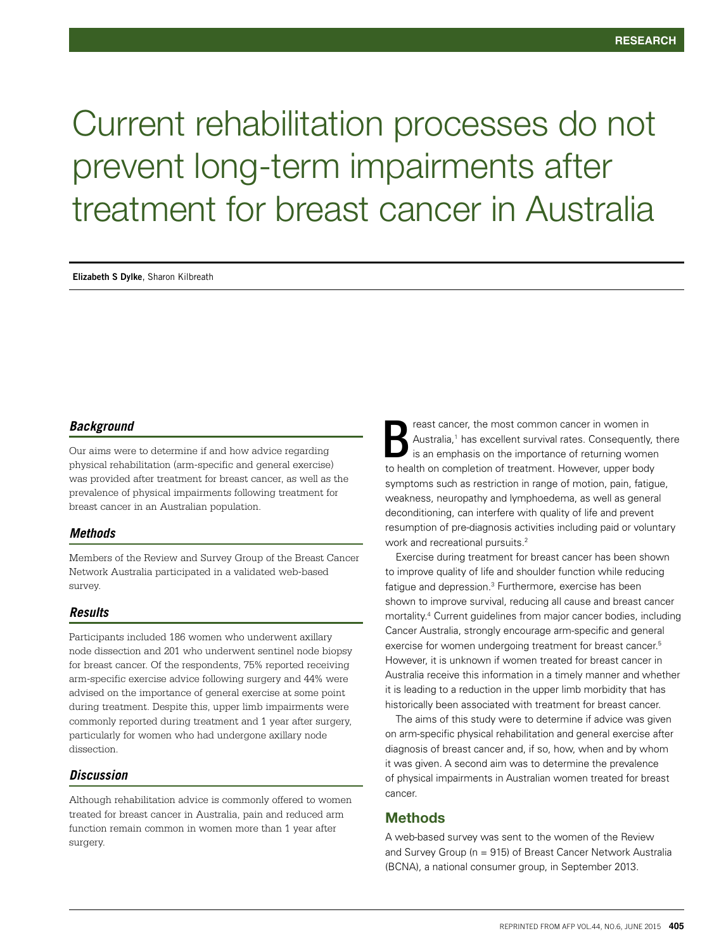# Current rehabilitation processes do not prevent long-term impairments after treatment for breast cancer in Australia

**Elizabeth S Dylke**, Sharon Kilbreath

## *Background*

Our aims were to determine if and how advice regarding physical rehabilitation (arm-specific and general exercise) was provided after treatment for breast cancer, as well as the prevalence of physical impairments following treatment for breast cancer in an Australian population.

## *Methods*

Members of the Review and Survey Group of the Breast Cancer Network Australia participated in a validated web-based survey.

#### *Results*

Participants included 186 women who underwent axillary node dissection and 201 who underwent sentinel node biopsy for breast cancer. Of the respondents, 75% reported receiving arm-specific exercise advice following surgery and 44% were advised on the importance of general exercise at some point during treatment. Despite this, upper limb impairments were commonly reported during treatment and 1 year after surgery, particularly for women who had undergone axillary node dissection.

## *Discussion*

Although rehabilitation advice is commonly offered to women treated for breast cancer in Australia, pain and reduced arm function remain common in women more than 1 year after surgery.

reast cancer, the most common cancer in women in Australia,<sup>1</sup> has excellent survival rates. Consequently, there is an emphasis on the importance of returning women to health on completion of treatment. However, upper body symptoms such as restriction in range of motion, pain, fatigue, weakness, neuropathy and lymphoedema, as well as general deconditioning, can interfere with quality of life and prevent resumption of pre-diagnosis activities including paid or voluntary work and recreational pursuits.<sup>2</sup> B

Exercise during treatment for breast cancer has been shown to improve quality of life and shoulder function while reducing fatigue and depression.<sup>3</sup> Furthermore, exercise has been shown to improve survival, reducing all cause and breast cancer mortality.4 Current guidelines from major cancer bodies, including Cancer Australia, strongly encourage arm-specific and general exercise for women undergoing treatment for breast cancer.<sup>5</sup> However, it is unknown if women treated for breast cancer in Australia receive this information in a timely manner and whether it is leading to a reduction in the upper limb morbidity that has historically been associated with treatment for breast cancer.

The aims of this study were to determine if advice was given on arm-specific physical rehabilitation and general exercise after diagnosis of breast cancer and, if so, how, when and by whom it was given. A second aim was to determine the prevalence of physical impairments in Australian women treated for breast cancer.

# Methods

A web-based survey was sent to the women of the Review and Survey Group (n = 915) of Breast Cancer Network Australia (BCNA), a national consumer group, in September 2013.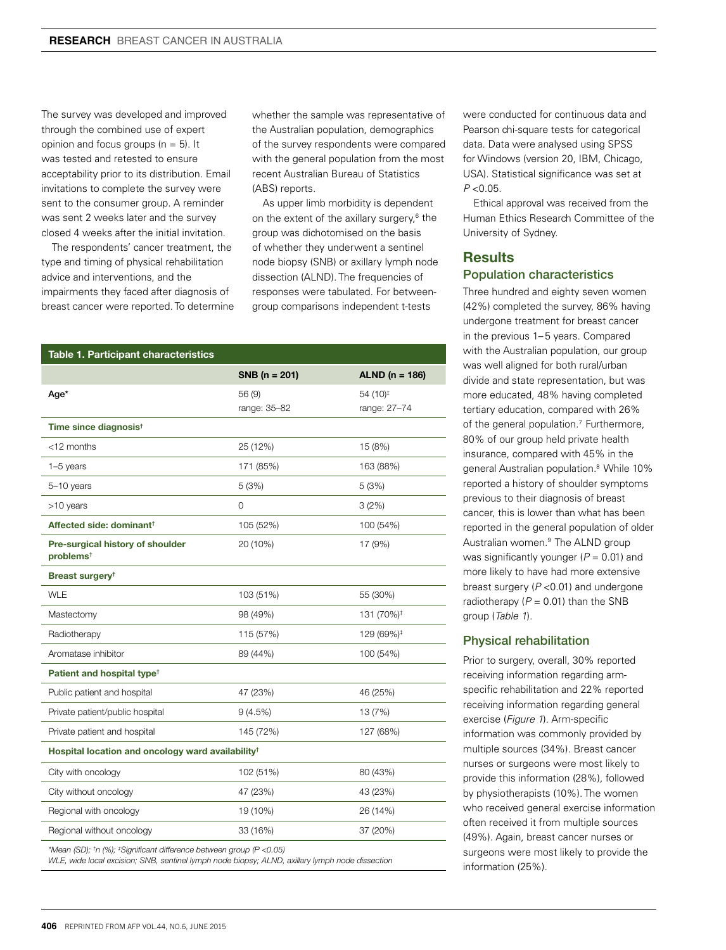The survey was developed and improved through the combined use of expert opinion and focus groups  $(n = 5)$ . It was tested and retested to ensure acceptability prior to its distribution. Email invitations to complete the survey were sent to the consumer group. A reminder was sent 2 weeks later and the survey closed 4 weeks after the initial invitation.

The respondents' cancer treatment, the type and timing of physical rehabilitation advice and interventions, and the impairments they faced after diagnosis of breast cancer were reported. To determine whether the sample was representative of the Australian population, demographics of the survey respondents were compared with the general population from the most recent Australian Bureau of Statistics (ABS) reports.

As upper limb morbidity is dependent on the extent of the axillary surgery,<sup>6</sup> the group was dichotomised on the basis of whether they underwent a sentinel node biopsy (SNB) or axillary lymph node dissection (ALND). The frequencies of responses were tabulated. For betweengroup comparisons independent t-tests

| Table 1. Participant characteristics                                                                                                                                                            |                        |                                      |
|-------------------------------------------------------------------------------------------------------------------------------------------------------------------------------------------------|------------------------|--------------------------------------|
|                                                                                                                                                                                                 | $SNB(n = 201)$         | ALND ( $n = 186$ )                   |
| Age*                                                                                                                                                                                            | 56 (9)<br>range: 35-82 | 54 (10) <sup>‡</sup><br>range: 27-74 |
| Time since diagnosis <sup>t</sup>                                                                                                                                                               |                        |                                      |
| $<$ 12 months                                                                                                                                                                                   | 25 (12%)               | 15 (8%)                              |
| $1-5$ years                                                                                                                                                                                     | 171 (85%)              | 163 (88%)                            |
| 5-10 years                                                                                                                                                                                      | 5 (3%)                 | 5 (3%)                               |
| >10 years                                                                                                                                                                                       | 0                      | 3(2%)                                |
| Affected side: dominant <sup>†</sup>                                                                                                                                                            | 105 (52%)              | 100 (54%)                            |
| Pre-surgical history of shoulder<br>problems <sup>t</sup>                                                                                                                                       | 20 (10%)               | 17 (9%)                              |
| Breast surgery <sup>t</sup>                                                                                                                                                                     |                        |                                      |
| <b>WLE</b>                                                                                                                                                                                      | 103 (51%)              | 55 (30%)                             |
| Mastectomy                                                                                                                                                                                      | 98 (49%)               | 131 (70%) <sup>‡</sup>               |
| Radiotherapy                                                                                                                                                                                    | 115 (57%)              | 129 (69%) <sup>‡</sup>               |
| Aromatase inhibitor                                                                                                                                                                             | 89 (44%)               | 100 (54%)                            |
| Patient and hospital type <sup>t</sup>                                                                                                                                                          |                        |                                      |
| Public patient and hospital                                                                                                                                                                     | 47 (23%)               | 46 (25%)                             |
| Private patient/public hospital                                                                                                                                                                 | 9(4.5%)                | 13 (7%)                              |
| Private patient and hospital                                                                                                                                                                    | 145 (72%)              | 127 (68%)                            |
| Hospital location and oncology ward availability <sup>t</sup>                                                                                                                                   |                        |                                      |
| City with oncology                                                                                                                                                                              | 102 (51%)              | 80 (43%)                             |
| City without oncology                                                                                                                                                                           | 47 (23%)               | 43 (23%)                             |
| Regional with oncology                                                                                                                                                                          | 19 (10%)               | 26 (14%)                             |
| Regional without oncology                                                                                                                                                                       | 33 (16%)               | 37 (20%)                             |
| *Mean (SD); <sup>+</sup> n (%); <sup>‡</sup> Significant difference between group (P < 0.05)<br>WLE, wide local excision; SNB, sentinel lymph node biopsy; ALND, axillary lymph node dissection |                        |                                      |

were conducted for continuous data and Pearson chi-square tests for categorical data. Data were analysed using SPSS for Windows (version 20, IBM, Chicago, USA). Statistical significance was set at  $P < 0.05$ .

Ethical approval was received from the Human Ethics Research Committee of the University of Sydney.

# **Results**

# Population characteristics

Three hundred and eighty seven women (42%) completed the survey, 86% having undergone treatment for breast cancer in the previous 1–5 years. Compared with the Australian population, our group was well aligned for both rural/urban divide and state representation, but was more educated, 48% having completed tertiary education, compared with 26% of the general population.<sup>7</sup> Furthermore, 80% of our group held private health insurance, compared with 45% in the general Australian population.<sup>8</sup> While 10% reported a history of shoulder symptoms previous to their diagnosis of breast cancer, this is lower than what has been reported in the general population of older Australian women.9 The ALND group was significantly younger (*P* = 0.01) and more likely to have had more extensive breast surgery (*P* <0.01) and undergone radiotherapy  $(P = 0.01)$  than the SNB group (*Table 1*).

## Physical rehabilitation

Prior to surgery, overall, 30% reported receiving information regarding armspecific rehabilitation and 22% reported receiving information regarding general exercise (*Figure 1*). Arm-specific information was commonly provided by multiple sources (34%). Breast cancer nurses or surgeons were most likely to provide this information (28%), followed by physiotherapists (10%). The women who received general exercise information often received it from multiple sources (49%). Again, breast cancer nurses or surgeons were most likely to provide the information (25%).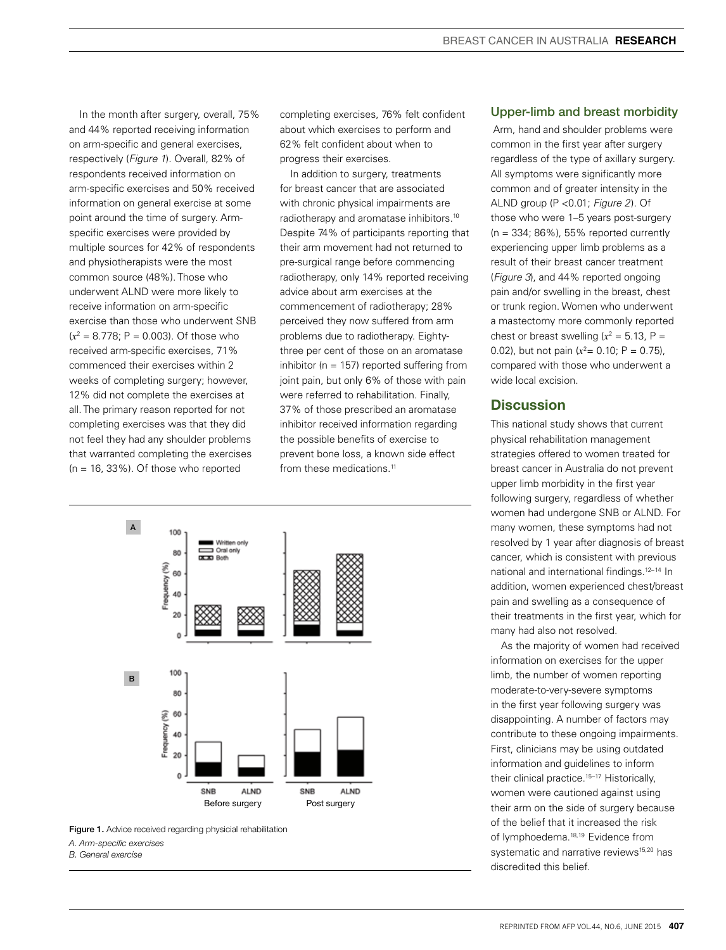In the month after surgery, overall, 75% and 44% reported receiving information on arm-specific and general exercises, respectively (*Figure 1*). Overall, 82% of respondents received information on arm-specific exercises and 50% received information on general exercise at some point around the time of surgery. Armspecific exercises were provided by multiple sources for 42% of respondents and physiotherapists were the most common source (48%). Those who underwent ALND were more likely to receive information on arm-specific exercise than those who underwent SNB  $(x^2 = 8.778; P = 0.003)$ . Of those who received arm-specific exercises, 71% commenced their exercises within 2 weeks of completing surgery; however, 12% did not complete the exercises at all. The primary reason reported for not completing exercises was that they did not feel they had any shoulder problems that warranted completing the exercises  $(n = 16, 33\%)$ . Of those who reported

completing exercises, 76% felt confident about which exercises to perform and 62% felt confident about when to progress their exercises.

In addition to surgery, treatments for breast cancer that are associated with chronic physical impairments are radiotherapy and aromatase inhibitors.10 Despite 74% of participants reporting that their arm movement had not returned to pre-surgical range before commencing radiotherapy, only 14% reported receiving advice about arm exercises at the commencement of radiotherapy; 28% perceived they now suffered from arm problems due to radiotherapy. Eightythree per cent of those on an aromatase inhibitor ( $n = 157$ ) reported suffering from joint pain, but only 6% of those with pain were referred to rehabilitation. Finally, 37% of those prescribed an aromatase inhibitor received information regarding the possible benefits of exercise to prevent bone loss, a known side effect from these medications.<sup>11</sup>





*A. Arm-specific exercises* 

*B. General exercise*

#### Upper-limb and breast morbidity

 Arm, hand and shoulder problems were common in the first year after surgery regardless of the type of axillary surgery. All symptoms were significantly more common and of greater intensity in the ALND group (P <0.01; *Figure 2*). Of those who were 1–5 years post-surgery  $(n = 334; 86\%)$ , 55% reported currently experiencing upper limb problems as a result of their breast cancer treatment (*Figure 3*), and 44% reported ongoing pain and/or swelling in the breast, chest or trunk region. Women who underwent a mastectomy more commonly reported chest or breast swelling  $(x^2 = 5.13, P =$ 0.02), but not pain  $(x^2 = 0.10; P = 0.75)$ , compared with those who underwent a wide local excision.

# **Discussion**

This national study shows that current physical rehabilitation management strategies offered to women treated for breast cancer in Australia do not prevent upper limb morbidity in the first year following surgery, regardless of whether women had undergone SNB or ALND. For many women, these symptoms had not resolved by 1 year after diagnosis of breast cancer, which is consistent with previous national and international findings.12–14 In addition, women experienced chest/breast pain and swelling as a consequence of their treatments in the first year, which for many had also not resolved.

As the majority of women had received information on exercises for the upper limb, the number of women reporting moderate-to-very-severe symptoms in the first year following surgery was disappointing. A number of factors may contribute to these ongoing impairments. First, clinicians may be using outdated information and guidelines to inform their clinical practice.<sup>15-17</sup> Historically, women were cautioned against using their arm on the side of surgery because of the belief that it increased the risk of lymphoedema.<sup>18,19</sup> Evidence from systematic and narrative reviews<sup>15,20</sup> has discredited this belief.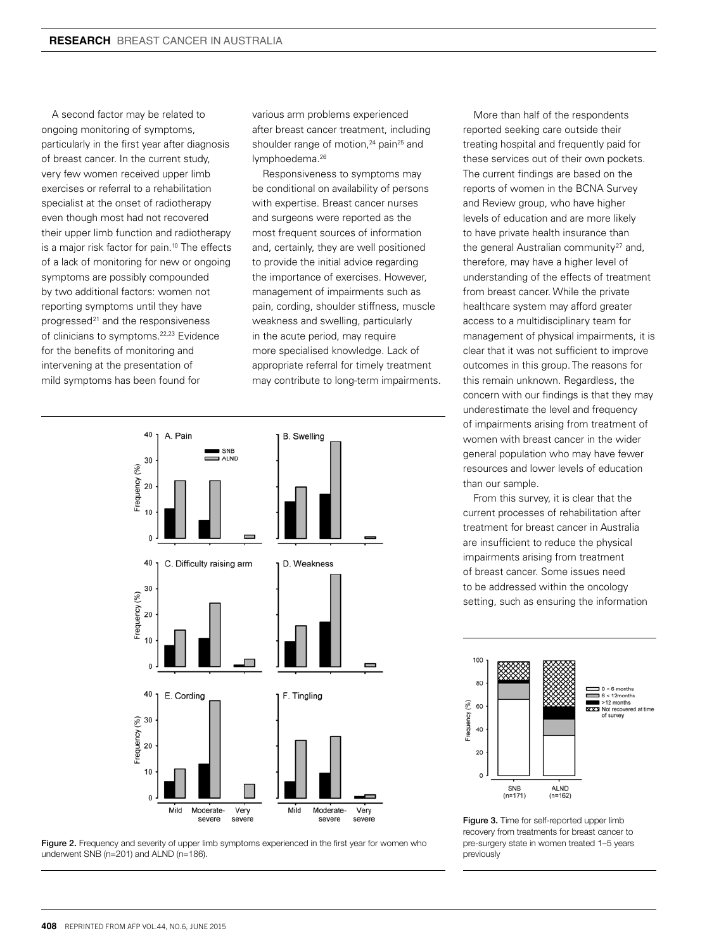A second factor may be related to ongoing monitoring of symptoms, particularly in the first year after diagnosis of breast cancer. In the current study, very few women received upper limb exercises or referral to a rehabilitation specialist at the onset of radiotherapy even though most had not recovered their upper limb function and radiotherapy is a major risk factor for pain.<sup>10</sup> The effects of a lack of monitoring for new or ongoing symptoms are possibly compounded by two additional factors: women not reporting symptoms until they have progressed $21$  and the responsiveness of clinicians to symptoms.22,23 Evidence for the benefits of monitoring and intervening at the presentation of mild symptoms has been found for

various arm problems experienced after breast cancer treatment, including shoulder range of motion,<sup>24</sup> pain<sup>25</sup> and lymphoedema.26

Responsiveness to symptoms may be conditional on availability of persons with expertise. Breast cancer nurses and surgeons were reported as the most frequent sources of information and, certainly, they are well positioned to provide the initial advice regarding the importance of exercises. However, management of impairments such as pain, cording, shoulder stiffness, muscle weakness and swelling, particularly in the acute period, may require more specialised knowledge. Lack of appropriate referral for timely treatment may contribute to long-term impairments.





More than half of the respondents reported seeking care outside their treating hospital and frequently paid for these services out of their own pockets. The current findings are based on the reports of women in the BCNA Survey and Review group, who have higher levels of education and are more likely to have private health insurance than the general Australian community<sup>27</sup> and. therefore, may have a higher level of understanding of the effects of treatment from breast cancer. While the private healthcare system may afford greater access to a multidisciplinary team for management of physical impairments, it is clear that it was not sufficient to improve outcomes in this group. The reasons for this remain unknown. Regardless, the concern with our findings is that they may underestimate the level and frequency of impairments arising from treatment of women with breast cancer in the wider general population who may have fewer resources and lower levels of education than our sample.

From this survey, it is clear that the current processes of rehabilitation after treatment for breast cancer in Australia are insufficient to reduce the physical impairments arising from treatment of breast cancer. Some issues need to be addressed within the oncology setting, such as ensuring the information



Figure 3. Time for self-reported upper limb recovery from treatments for breast cancer to pre-surgery state in women treated 1–5 years previously